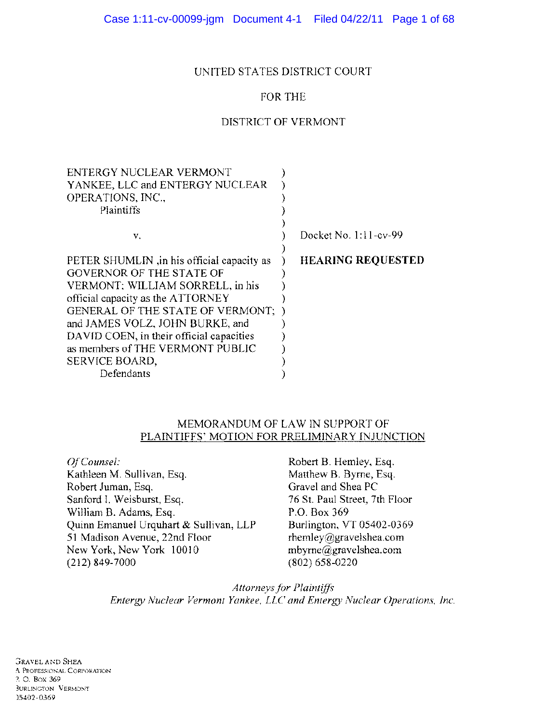#### UNITED STATES DISTRICT COURT

### FOR THE

#### DISTRICT OF VERMONT

|                                  | Docket No. 1:11-cv-99    |
|----------------------------------|--------------------------|
|                                  |                          |
|                                  | <b>HEARING REQUESTED</b> |
|                                  |                          |
|                                  |                          |
|                                  |                          |
| GENERAL OF THE STATE OF VERMONT; |                          |
|                                  |                          |
|                                  |                          |
|                                  |                          |
|                                  |                          |
|                                  |                          |
|                                  |                          |

#### MEMORANDUM OF LAW IN SUPPORT OF PLAINTIFFS' MOTION FOR PRELIMINARY INJUNCTION

*Of Counsel:*  Kathleen M. Sullivan, Esq. Robert Juman, Esq. Sanford I. Weisburst, Esq. William B. Adams, Esq. Quinn Emanuel Urquhart & Sullivan, LLP 51 Madison Avenue, 22nd Floor New York, New York 10010 (212) 849-7000

Robert B. Hemley, Esq. Matthew B. Byrne, Esq. Gravel and Shea PC 76 St. Paul Street, 7th Floor P.O. Box 369 Burlington, VT 05402-0369 rhemley@gravelshea.com mbyrne@gravelshea.com (802) 658-0220

*Attorneys for Plaintiffs Entergy Nuclear Vermont Yankee, LLC and Entergy Nuclear Operations, Inc.*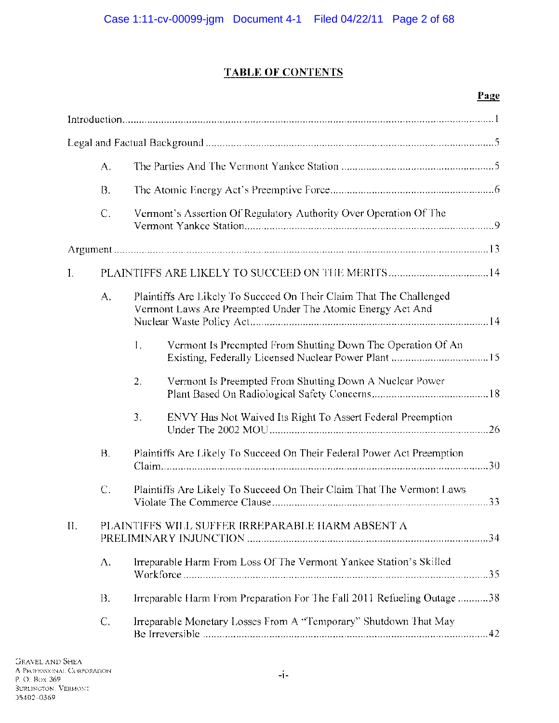## **T ABLE OF CONTENTS**

### Page

|                | А. |                                                                                                                                   |
|----------------|----|-----------------------------------------------------------------------------------------------------------------------------------|
|                | B. |                                                                                                                                   |
|                | C. | Vermont's Assertion Of Regulatory Authority Over Operation Of The                                                                 |
|                |    |                                                                                                                                   |
| $\mathbf{I}$ . |    | PLAINTIFFS ARE LIKELY TO SUCCEED ON THE MERITS 14                                                                                 |
|                | А. | Plaintiffs Are Likely To Succeed On Their Claim That The Challenged<br>Vermont Laws Are Preempted Under The Atomic Energy Act And |
|                |    | Vermont Is Preempted From Shutting Down The Operation Of An<br>Ι.                                                                 |
|                |    | 2.<br>Vermont Is Preempted From Shutting Down A Nuclear Power                                                                     |
|                |    | 3.<br>ENVY Has Not Waived Its Right To Assert Federal Preemption                                                                  |
|                | В. | Plaintiffs Are Likely To Succeed On Their Federal Power Act Preemption                                                            |
|                | C. | Plaintiffs Are Likely To Succeed On Their Claim That The Vermont Laws                                                             |
| Η.             |    | PLAINTIFFS WILL SUFFER IRREPARABLE HARM ABSENT A                                                                                  |
|                | Α. | Irreparable Harm From Loss Of The Vermont Yankee Station's Skilled                                                                |
|                | Β. | Irreparable Harm From Preparation For The Fall 2011 Refueling Outage 38                                                           |
|                | C. | Irreparable Monetary Losses From A "Temporary" Shutdown That May                                                                  |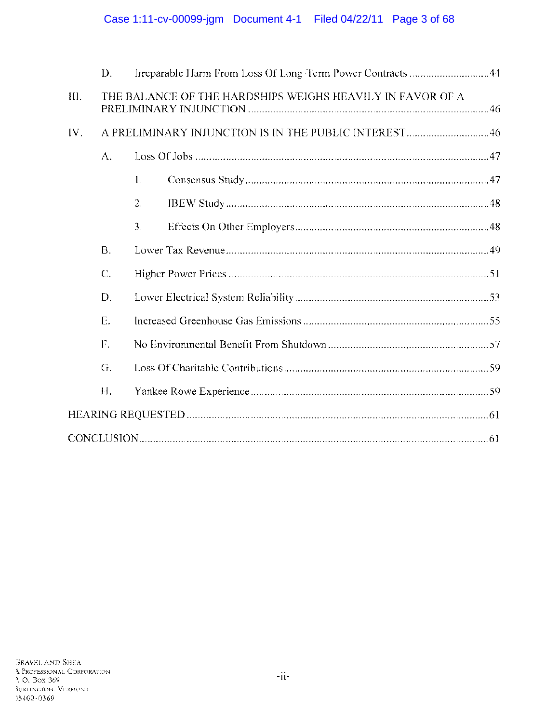|      | D.        | Irreparable Harm From Loss Of Long-Term Power Contracts 44 |
|------|-----------|------------------------------------------------------------|
| III. |           | THE BALANCE OF THE HARDSHIPS WEIGHS HEAVILY IN FAVOR OF A  |
| IV.  |           | A PRELIMINARY INJUNCTION IS IN THE PUBLIC INTEREST46       |
|      | A.        |                                                            |
|      |           | 1.                                                         |
|      |           | 2.                                                         |
|      |           | 3.                                                         |
|      | <b>B.</b> |                                                            |
|      | $C$ .     |                                                            |
|      | D.        |                                                            |
|      | Е.        |                                                            |
|      | F.        |                                                            |
|      | G.        |                                                            |
|      | Н.        |                                                            |
|      |           |                                                            |
|      |           |                                                            |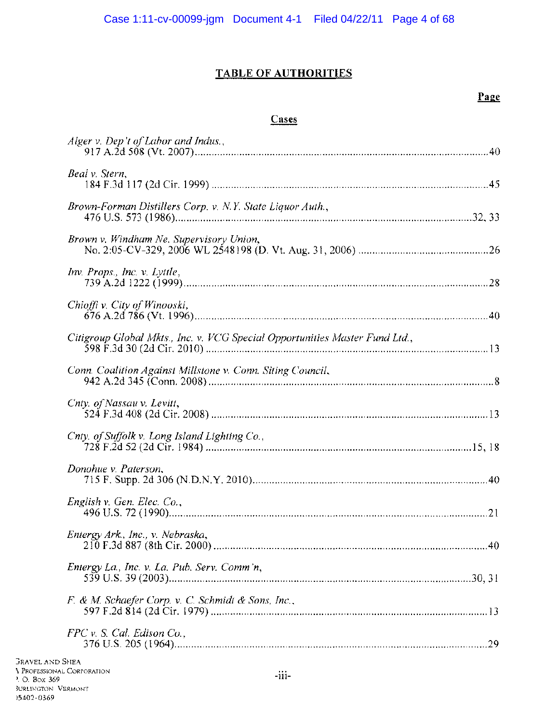### **TABLE OF AUTHORITIES**

#### Page

#### Cases

| Alger v. Dep't of Labor and Indus.,                                         |
|-----------------------------------------------------------------------------|
| Beal v. Stern,                                                              |
| Brown-Forman Distillers Corp. v. N.Y. State Liquor Auth.,                   |
| Brown v. Windham Ne. Supervisory Union,                                     |
| Inv. Props., Inc. v. Lyttle,                                                |
| Chioffi v. City of Winooski,                                                |
| Citigroup Global Mkts., Inc. v. VCG Special Opportunities Master Fund Ltd., |
| Conn. Coalition Against Millstone v. Conn. Siting Council,                  |
| Cnty. of Nassau v. Levitt,                                                  |
| Cnty. of Suffolk v. Long Island Lighting Co.,                               |
| Donohue v. Paterson,                                                        |
| English v. Gen. Elec. Co.,                                                  |
| Entergy Ark., Inc., v. Nebraska,                                            |
| Entergy La., Inc. v. La. Pub. Serv. Comm'n,                                 |
| F. & M. Schaefer Corp. v. C. Schmidt & Sons, Inc.,                          |
| $FPC$ v. S. Cal. Edison Co.,                                                |
|                                                                             |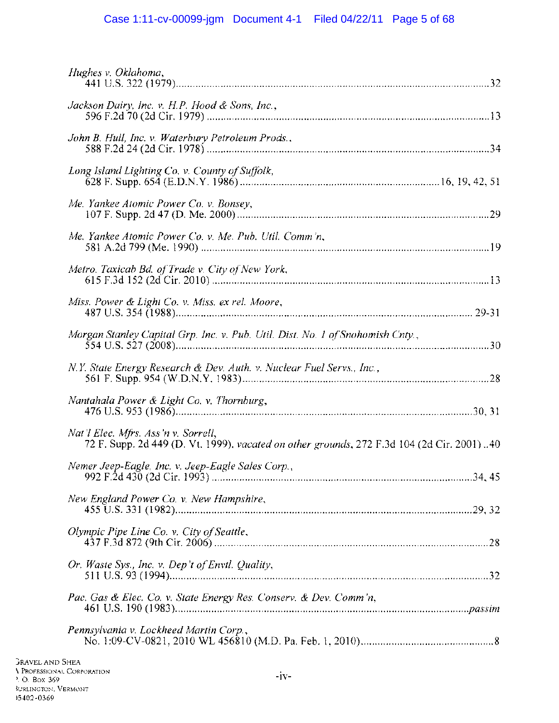# Case 1:11-cv-00099-jgm Document 4-1 Filed 04/22/11 Page 5 of 68

| Hughes v. Oklahoma,                                                                                                              |
|----------------------------------------------------------------------------------------------------------------------------------|
| Jackson Dairy, Inc. v. H.P. Hood & Sons, Inc.,                                                                                   |
| John B. Hull, Inc. v. Waterbury Petroleum Prods.,                                                                                |
| Long Island Lighting Co. v. County of Suffolk,                                                                                   |
| Me. Yankee Atomic Power Co. v. Bonsey,                                                                                           |
| Me. Yankee Atomic Power Co. v. Me. Pub. Util. Comm'n,                                                                            |
| Metro. Taxicab Bd. of Trade v. City of New York,                                                                                 |
| Miss. Power & Light Co. v. Miss. ex rel. Moore,                                                                                  |
| Morgan Stanley Capital Grp. Inc. v. Pub. Util. Dist. No. 1 of Snohomish Cnty.,                                                   |
| N.Y. State Energy Research & Dev. Auth. v. Nuclear Fuel Servs., Inc.,                                                            |
| Nantahala Power & Light Co. v. Thornburg,                                                                                        |
| Nat'l Elec. Mfrs. Ass'n v. Sorrell,<br>72 F. Supp. 2d 449 (D. Vt. 1999), vacated on other grounds, 272 F.3d 104 (2d Cir. 2001)40 |
| Nemer Jeep-Eagle, Inc. v. Jeep-Eagle Sales Corp.,                                                                                |
| New England Power Co. v. New Hampshire,                                                                                          |
| Olympic Pipe Line Co. v. City of Seattle,                                                                                        |
| Or. Waste Sys., Inc. v. Dep't of Envtl. Quality,                                                                                 |
| Pac. Gas & Elec. Co. v. State Energy Res. Conserv. & Dev. Comm'n,                                                                |
| Pennsylvania v. Lockheed Martin Corp.,                                                                                           |
| n Suca                                                                                                                           |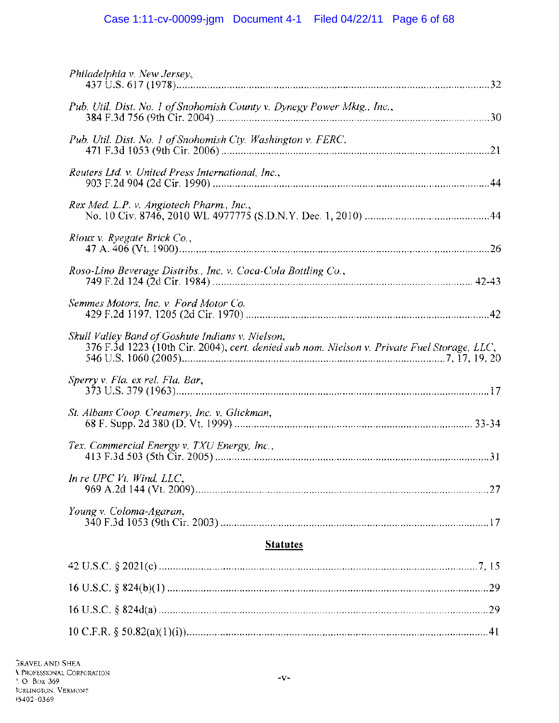| Philadelphia v. New Jersey,                                                                                                                     |  |  |  |  |
|-------------------------------------------------------------------------------------------------------------------------------------------------|--|--|--|--|
| Pub. Util. Dist. No. 1 of Snohomish County v. Dynegy Power Mktg., Inc.,                                                                         |  |  |  |  |
| Pub. Util. Dist. No. 1 of Snohomish Cty. Washington v. FERC,                                                                                    |  |  |  |  |
| Reuters Ltd. v. United Press International, Inc.,                                                                                               |  |  |  |  |
| Rex Med. L.P. v. Angiotech Pharm., Inc.,                                                                                                        |  |  |  |  |
| Rioux v. Ryegate Brick Co.,                                                                                                                     |  |  |  |  |
| Roso-Lino Beverage Distribs., Inc. v. Coca-Cola Bottling Co.,                                                                                   |  |  |  |  |
| Semmes Motors, Inc. v. Ford Motor Co.                                                                                                           |  |  |  |  |
| Skull Valley Band of Goshute Indians v. Nielson,<br>376 F.3d 1223 (10th Cir. 2004), cert. denied sub nom. Nielson v. Private Fuel Storage, LLC, |  |  |  |  |
| Sperry v. Fla. ex rel. Fla. Bar,                                                                                                                |  |  |  |  |
| St. Albans Coop. Creamery, Inc. v. Glickman,                                                                                                    |  |  |  |  |
| Tex. Commercial Energy v. TXU Energy, Inc.,                                                                                                     |  |  |  |  |
| In re UPC Vt. Wind, LLC,                                                                                                                        |  |  |  |  |
| Young v. Coloma-Agaran,                                                                                                                         |  |  |  |  |
| <b>Statutes</b>                                                                                                                                 |  |  |  |  |
|                                                                                                                                                 |  |  |  |  |
|                                                                                                                                                 |  |  |  |  |

16 U.S.C. § 824d(a) ....................................................................................................................... 29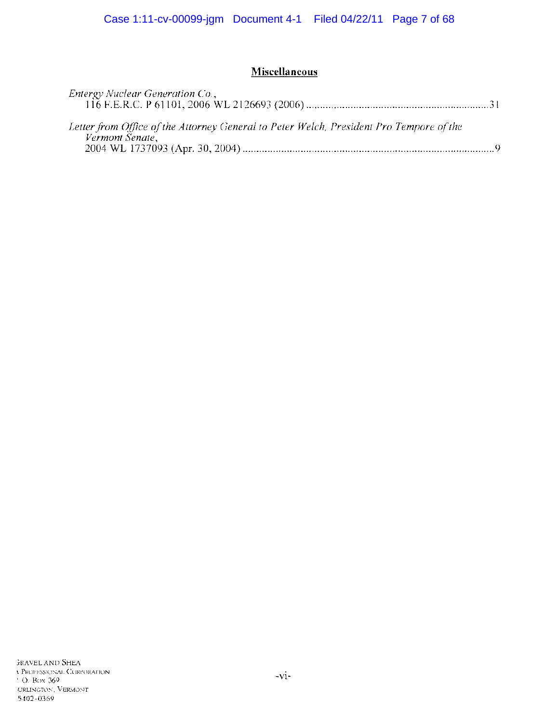## **Miscellaneous**

| Entergy Nuclear Generation Co.,                                                                            |  |
|------------------------------------------------------------------------------------------------------------|--|
| Letter from Office of the Attorney General to Peter Welch, President Pro Tempore of the<br>Vermont Senate, |  |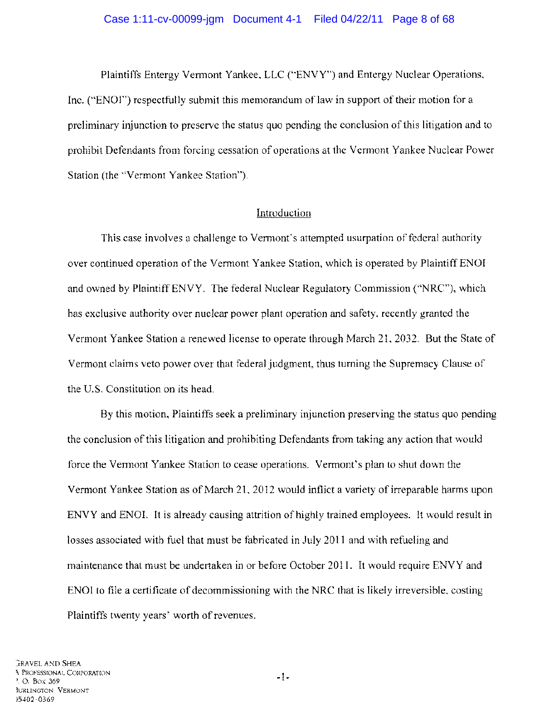Plaintiffs Entergy Vermont Yankee, LLC ("ENVY") and Entergy Nuclear Operations, Inc. ("ENOl") respectfully submit this memorandum of law in support of their motion for a preliminary injunction to preserve the status quo pending the conclusion of this litigation and to prohibit Defendants from forcing cessation of operations at the Vermont Yankee Nuclear Power Station (the "Vermont Yankee Station").

#### Introduction

This case involves a challenge to Vermont's attempted usurpation of federal authority over continued operation of the Vermont Yankee Station, which is operated by Plaintiff ENOl and owned by Plaintiff ENVY. The federal Nuclear Regulatory Commission ("NRC"), which has exclusive authority over nuclear power plant operation and safety, recently granted the Vermont Yankee Station a renewed license to operate through March 21,2032. But the State of Vermont claims veto power over that federal judgment, thus turning the Supremacy Clause of the U.S. Constitution on its head.

By this motion, Plaintiffs seek a preliminary injunction preserving the status quo pending the conclusion of this litigation and prohibiting Defendants from taking any action that would force the Vermont Yankee Station to cease operations. Vermont's plan to shut down the Vermont Yankee Station as of March 21,2012 would inflict a variety of irreparable harms upon ENVY and ENOL It is already causing attrition of highly trained employees. It would result in losses associated with fuel that must be fabricated in July 2011 and with refueling and maintenance that must be undertaken in or before October 2011. It would require ENVY and ENOl to file a certificate of decommissioning with the NRC that is likely irreversible, costing Plaintiffs twenty years' worth of revenues.

-1-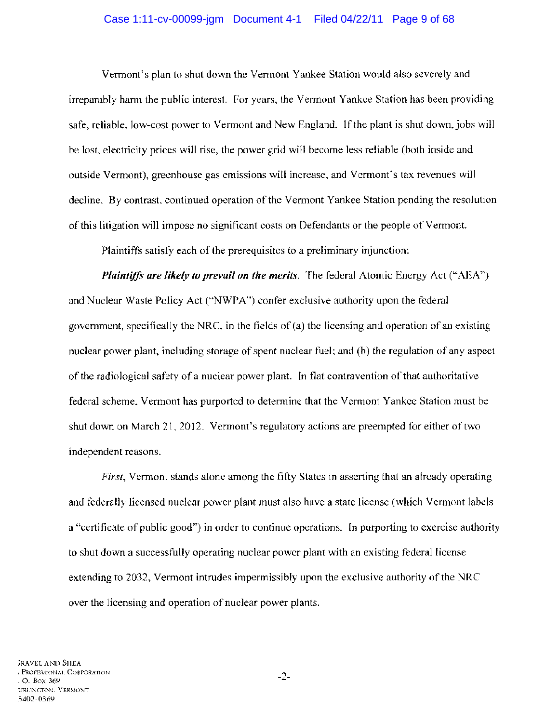#### Case 1:11-cv-00099-jgm Document 4-1 Filed 04/22/11 Page 9 of 68

Vermont's plan to shut down the Vermont Yankee Station would also severely and irreparably harm the public interest. For years, the Vermont Yankee Station has been providing safe, reliable, low-cost power to Vermont and New England. If the plant is shut down, jobs will be lost, electricity prices will rise, the power grid will become less reliable (both inside and outside Vermont), greenhouse gas emissions will increase, and Vermont's tax revenues will decline. By contrast, continued operation of the Vermont Yankee Station pending the resolution of this litigation will impose no significant costs on Defendants or the people of Vermont.

Plaintiffs satisfy each of the prerequisites to a preliminary injunction:

*Plaintiffs are likely to prevail on the merits.* The federal Atomic Energy Act ("AEA") and Nuclear Waste Policy Act ("NWPA") confer exclusive authority upon the federal government, specifically the NRC, in the fields of (a) the licensing and operation of an existing nuclear power plant, including storage of spent nuclear fuel; and (b) the regulation of any aspect of the radiological safety of a nuclear power plant. In flat contravention of that authoritative federal scheme, Vermont has purported to determine that the Vermont Yankee Station must be shut down on March 21,2012. Vermont's regulatory actions are preempted for either of two independent reasons.

*First,* Vermont stands alone among the fifty States in asserting that an already operating and federally licensed nuclear power plant must also have a state license (which Vermont labels a "certificate of public good") in order to continue operations. In purporting to exercise authority to shut down a successfully operating nuclear power plant with an existing federal license extending to 2032, Vermont intrudes impermissibly upon the exclusive authority of the NRC over the licensing and operation of nuclear power plants.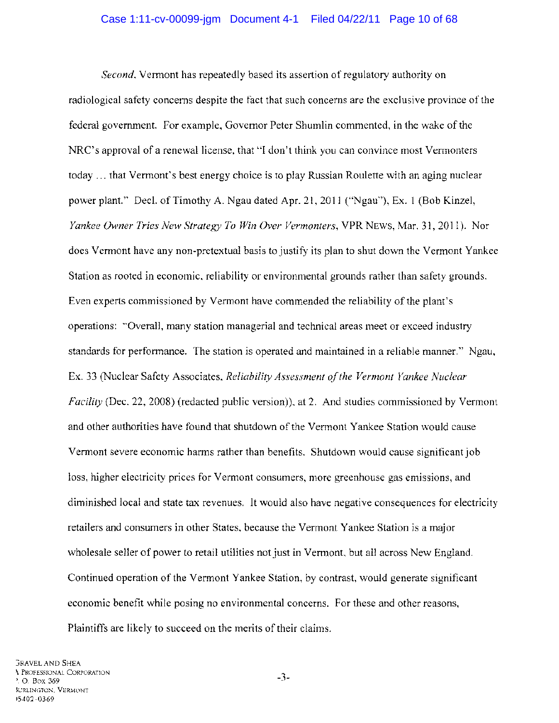*Second,* Vermont has repeatedly based its assertion of regulatory authority on radiological safety concerns despite the fact that such concerns are the exclusive province of the federal government. For example, Governor Peter Shumlin commented, in the wake of the NRC's approval of a renewal license, that "I don't think you can convince most Vermonters today ... that Vermont's best energy choice is to play Russian Roulette with an aging nuclear power plant." Decl. of Timothy A. Ngau dated Apr. 21, 2011 ("Ngau"), Ex. 1 (Bob Kinzel, *Yankee Owner Tries New Strategy To Win Over Vermonters,* VPR NEWS, Mar. 31,2011). Nor does Vermont have any non-pretextual basis to justify its plan to shut down the Vermont Yankee Station as rooted in economic, reliability or environmental grounds rather than safety grounds. Even experts commissioned by Vermont have commended the reliability of the plant's operations: "Overall, many station managerial and technical areas meet or exceed industry standards for performance. The station is operated and maintained in a reliable manner." Ngau, Ex. 33 (Nuclear Safety Associates, *Reliability Assessment of the Vermont Yankee Nuclear Facility* (Dec. 22, 2008) (redacted public version)), at 2. And studies commissioned by Vermont and other authorities have found that shutdown of the Vermont Yankee Station would cause Vermont severe economic harms rather than benefits. Shutdown would cause significant job loss, higher electricity prices for Vermont consumers, more greenhouse gas emissions, and diminished local and state tax revenues. It would also have negative consequences for electricity retailers and consumers in other States, because the Vermont Yankee Station is a major wholesale seller of power to retail utilities not just in Vermont, but all across New England. Continued operation of the Vermont Yankee Station, by contrast, would generate significant economic benefit while posing no environmental concerns. For these and other reasons, Plaintiffs are likely to succeed on the merits of their claims.

-3-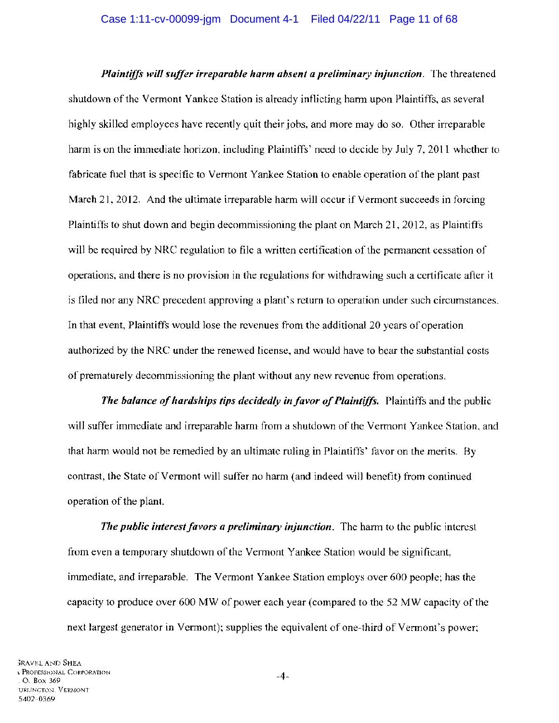*Plaintiffs will suffer irreparable harm absent a preliminary injunction.* **The threatened** shutdown of the Vermont Yankee Station is already inflicting harm upon Plaintiffs, as several highly skilled employees have recently quit their jobs, and more may do so. Other irreparable harm is on the immediate horizon, including Plaintiffs' need to decide by July 7, 2011 whether to fabricate fuel that is specific to Vermont Yankee Station to enable operation of the plant past March 21, 2012. And the ultimate irreparable harm will occur if Vermont succeeds in forcing Plaintiffs to shut down and begin decommissioning the plant on March 21, 2012, as Plaintiffs will be required by NRC regulation to file a written certification of the permanent cessation of operations, and there is no provision in the regulations for withdrawing such a certificate after it is filed nor any NRC precedent approving a plant's return to operation under such circumstances. In that event, Plaintiffs would lose the revenues from the additional 20 years of operation authorized by the NRC under the renewed license, and would have to bear the substantial costs of prematurely decommissioning the plant without any new revenue from operations.

*The balance of hardships tips decidedly in favor of Plaintiffs.* Plaintiffs and the public will suffer immediate and irreparable harm from a shutdown of the Vermont Yankee Station, and that harm would not be remedied by an ultimate ruling in Plaintiffs' favor on the merits. By contrast, the State of Vermont will suffer no harm (and indeed will benefit) from continued operation of the plant.

*The public interest favors a preliminary injunction.* The harm to the public interest from even a temporary shutdown of the Vermont Yankee Station would be significant, immediate, and irreparable. The Vermont Yankee Station employs over 600 people; has the capacity to produce over 600 MW of power each year (compared to the 52 MW capacity of the next largest generator in Vermont); supplies the equivalent of one-third of Vermont's power;

-4-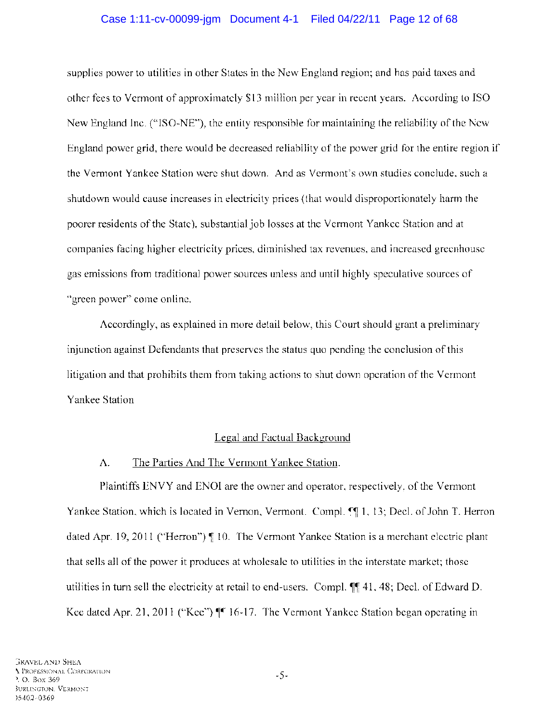### Case 1:11-cv-00099-jgm Document 4-1 Filed 04/22/11 Page 12 of 68

supplies power to utilities in other States in the New England region; and has paid taxes and other fees to Vermont of approximately \$13 million per year in recent years. According to ISO New England Inc. ("ISO-NE"), the entity responsible for maintaining the reliability of the New England power grid, there would be decreased reliability of the power grid for the entire region if the Vermont Yankee Station were shut down. And as Vermont's own studies conclude, such a shutdown would cause increases in electricity prices (that would disproportionately harm the poorer residents of the State), substantial job losses at the Vermont Yankee Station and at companies facing higher electricity prices, diminished tax revenues, and increased greenhouse gas emissions from traditional power sources unless and until highly speculative sources of "green power" come online.

Accordingly, as explained in more detail below, this Court should grant a preliminary injunction against Defendants that preserves the status quo pending the conclusion of this litigation and that prohibits them from taking actions to shut down operation of the Vermont Yankee Station

#### Legal and Factual Background

### A. The Parties And The Vermont Yankee Station.

Plaintiffs ENVY and ENOl are the owner and operator, respectively, of the Vermont Yankee Station, which is located in Vernon, Vermont. Compl. <sup>or</sup> 1, 13; Decl. of John T. Herron dated Apr. 19, 2011 ("Herron")  $\parallel$  10. The Vermont Yankee Station is a merchant electric plant that sells all of the power it produces at wholesale to utilities in the interstate market; those utilities in turn sell the electricity at retail to end-users. Compl.  $\P$ , 41, 48; Decl. of Edward D. Kee dated Apr. 21, 2011 ("Kee")  $\P^{\dagger}$  16-17. The Vermont Yankee Station began operating in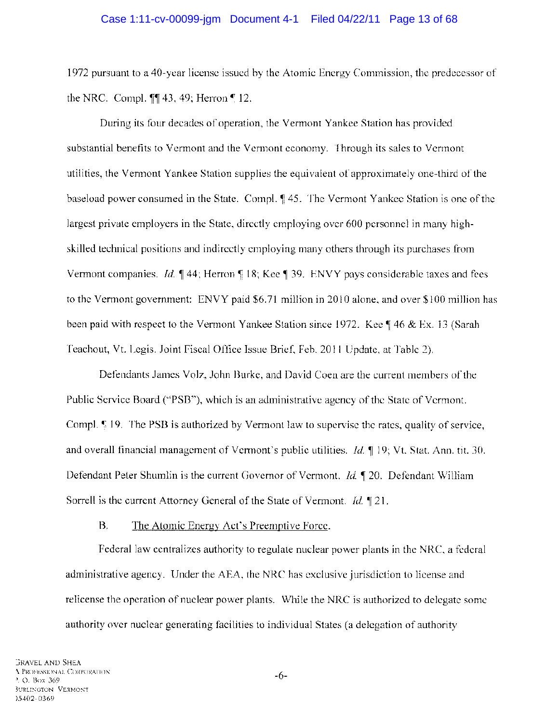#### Case 1:11-cv-00099-jgm Document 4-1 Filed 04/22/11 Page 13 of 68

1972 pursuant to a 40-year license issued by the Atomic Energy Commission, the predecessor of the NRC. Compl.  $\P\P$  43, 49; Herron  $\P$  12.

During its four decades of operation, the Vermont Yankee Station has provided substantial benefits to Vermont and the Vermont economy. Through its sales to Vermont utilities, the Vermont Yankee Station supplies the equivalent of approximately one-third of the baseload power consumed in the State. Compl.  $\parallel$  45. The Vermont Yankee Station is one of the largest private employers in the State, directly employing over 600 personnel in many highskilled technical positions and indirectly employing many others through its purchases from Vermont companies. *Id.*  $\parallel$  44; Herron  $\parallel$  18; Kee  $\parallel$  39. ENVY pays considerable taxes and fees to the Vermont government: ENVY paid \$6.71 million in 2010 alone, and over \$100 million has been paid with respect to the V ermont Yankee Station since 1972. Kee  $\parallel$  46 & Ex. 13 (Sarah Teachout, Vt. Legis. Joint Fiscal Office Issue Brief, Feb. 2011 Update, at Table 2).

Defendants James Volz, John Burke, and David Coen are the current members of the Public Service Board ("PSB"), which is an administrative agency of the State of Vermont. Compl. ~ 19. The PSB is authorized by Vermont law to supervise the rates, quality of service, and overall financial management of Vermont's public utilities. *Id.*  $\parallel$  19; Vt. Stat. Ann. tit. 30. Defendant Peter Shumlin is the current Governor of Vermont. *Id.* 120. Defendant William Sorrell is the current Attorney General of the State of Vermont. *Id.*  $\llbracket 2 \rrbracket$ .

#### B. The Atomic Energy Act's Preemptive Force.

Federal law centralizes authority to regulate nuclear power plants in the NRC, a federal administrative agency. Under the AEA, the NRC has exclusive jurisdiction to license and relicense the operation of nuclear power plants. While the NRC is authorized to delegate some authority over nuclear generating facilities to individual States (a delegation of authority

-6-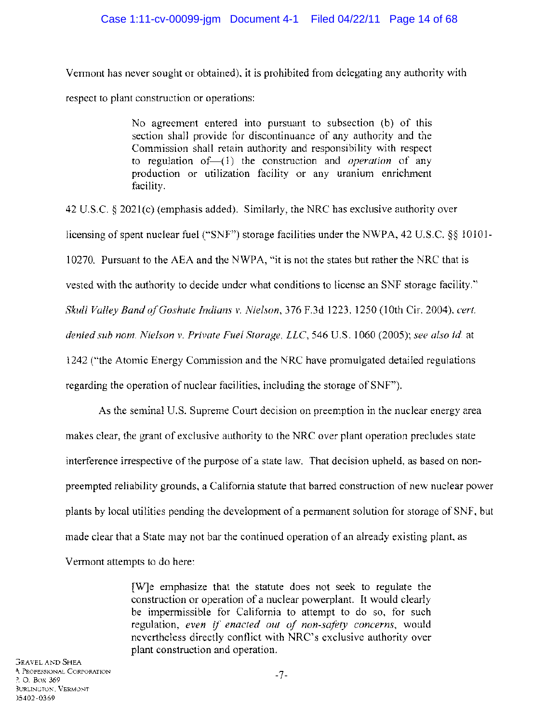Vermont has never sought or obtained), it is prohibited from delegating any authority with respect to plant construction or operations:

> No agreement entered into pursuant to subsection (b) of this section shall provide for discontinuance of any authority and the Commission shall retain authority and responsibility with respect to regulation of-(I) the construction and *operation* of any production or utilization facility or any uranium enrichment facility.

42 U.S.C. § 2021(c) (emphasis added). Similarly, the NRC has exclusive authority over licensing of spent nuclear fuel ("SNF") storage facilities under the NWPA, 42 U.S.C. §§ 10101- 10270. Pursuant to the AEA and the NWPA, "it is not the states but rather the NRC that is vested with the authority to decide under what conditions to license an SNF storage facility." *Skull Valley Band of Gosh ute Indians* v. *Nielson,* 376 F.3d 1223, 1250 (lOth Cir. 2004), *cert. denied sub nom. Nielson* v. *Private Fuel Storage, LLC,* 546 U.S. 1060 (2005); *see also id.* at 1242 ("the Atomic Energy Commission and the NRC have promulgated detailed regulations regarding the operation of nuclear facilities, including the storage of SNF").

As the seminal U.S. Supreme Court decision on preemption in the nuclear energy area makes clear, the grant of exclusive authority to the NRC over plant operation precludes state interference irrespective of the purpose of a state law. That decision upheld, as based on nonpreempted reliability grounds, a California statute that barred construction of new nuclear power plants by local utilities pending the development of a permanent solution for storage of SNF, but made clear that a State may not bar the continued operation of an already existing plant, as Vermont attempts to do here:

> [W]e emphasize that the statute does not seek to regulate the construction or operation of a nuclear powerplant. It would clearly be impermissible for California to attempt to do so, for such regulation, *even* if *enacted out of non-safety concerns,* would nevertheless directly conflict with NRC's exclusive authority over plant construction and operation.

GRAVEL AND SHEA '\ PROFESSIONAL CORPORATION '. O. Box 369 3URLINGTON, VERMONT )5402-0369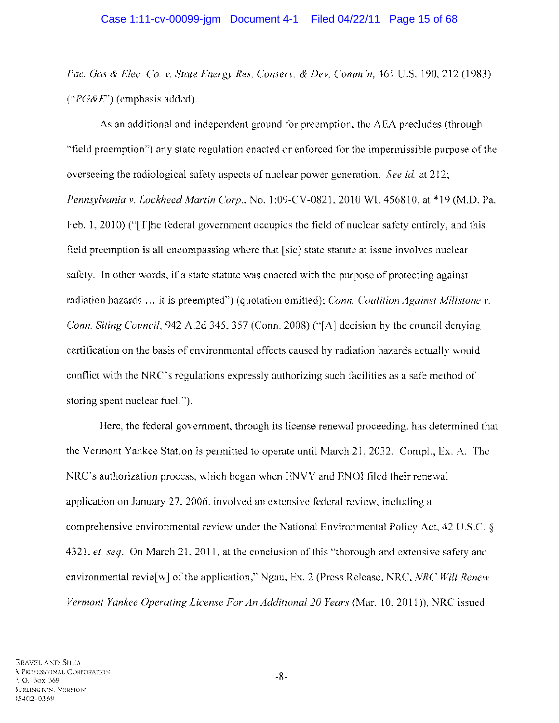*Pac. Gas* & *Elec. Co.* v. *State Energy Res. Conserv.* & *Dev. Comm 'n,* 461 U.S. 190,212 (1983)  $(^{\circ}P G \& E$ ") (emphasis added).

As an additional and independent ground for preemption, the AEA precludes (through "field preemption") any state regulation enacted or enforced for the impermissible purpose of the overseeing the radiological safety aspects of nuclear power generation. *See id.* at 212; *Pennsylvania* v. *Lockheed Martin Corp.,* No. 1:09-CV-0821, 2010 WL 456810, at \*19 (M.D. Pa. Feb. 1,2010) ("[T]he federal government occupies the field of nuclear safety entirely, and this field preemption is all encompassing where that [sic] state statute at issue involves nuclear safety. In other words, if a state statute was enacted with the purpose of protecting against radiation hazards ... it is preempted") (quotation omitted); *Conn. Coalition Against Millstone* v. *Conn. Siting Council,* 942 A.2d 345, 357 (Conn. 2008) ("[A] decision by the council denying certification on the basis of environmental effects caused by radiation hazards actually would conflict with the NRC's regulations expressly authorizing such facilities as a safe method of storing spent nuclear fuel.").

Here, the federal government, through its license renewal proceeding, has determined that the Vermont Yankee Station is permitted to operate until March 21, 2032. CompI., Ex. A. The NRC's authorization process, which began when ENVY and ENOl filed their renewal application on January 27, 2006, involved an extensive federal review, including a comprehensive environmental review under the National Environmental Policy Act, 42 U.S.C. § *4321, et. seq.* On March 21, 2011, at the conclusion of this "thorough and extensive safety and environmental revie[w] of the application," Ngau, Ex. 2 (Press Release, NRC, *NRC Will Renew Vermont Yankee Operating License For An Additional 20 Years* (Mar. 10,2011», NRC issued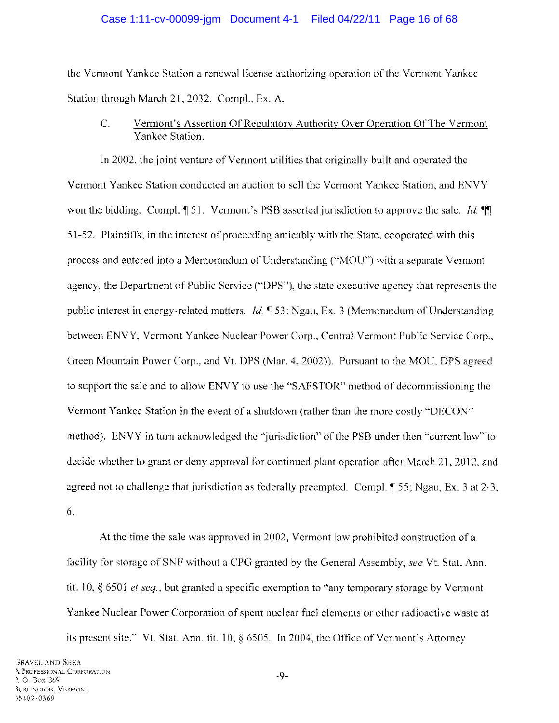#### Case 1:11-cv-00099-jgm Document 4-1 Filed 04/22/11 Page 16 of 68

the V ermont Yankee Station a renewal license authorizing operation of the V ermont Yankee Station through March 21, 2032. CompI., Ex. A.

### C. Vermont's Assertion Of Regulatory Authority Over Operation Of The Vermont Yankee Station.

In 2002, the joint venture of Vermont utilities that originally built and operated the Vermont Yankee Station conducted an auction to sell the Vermont Yankee Station, and ENVY won the bidding. Compl.  $\parallel$  51. Vermont's PSB asserted jurisdiction to approve the sale. *Id.*  $\parallel$ 51-52. Plaintiffs, in the interest of proceeding amicably with the State, cooperated with this process and entered into a Memorandum of Understanding ("MOU") with a separate Vermont agency, the Department of Public Service ("DPS"), the state executive agency that represents the public interest in energy-related matters. *Id.*  $\approx$  53; Ngau, Ex. 3 (Memorandum of Understanding between ENVY, Vermont Yankee Nuclear Power Corp., Central Vermont Public Service Corp., Green Mountain Power Corp., and Vt. DPS (Mar. 4, 2002)). Pursuant to the MOU, DPS agreed to support the sale and to allow ENVY to use the "SAFSTOR" method of decommissioning the Vermont Yankee Station in the event of a shutdown (rather than the more costly "DEC ON" method). ENVY in tum acknowledged the 'jurisdiction" of the PSB under then "current law" to decide whether to grant or deny approval for continued plant operation after March 21, 2012, and agreed not to challenge that jurisdiction as federally preempted. Compl.  $\parallel$  55; Ngau, Ex. 3 at 2-3, 6.

At the time the sale was approved in 2002, Vermont law prohibited construction of a facility for storage of SNF without a CPG granted by the General Assembly, *see* Vt. Stat. Ann. tit. 10, § 6501 *et seq.,* but granted a specific exemption to "any temporary storage by Vermont Yankee Nuclear Power Corporation of spent nuclear fuel elements or other radioactive waste at its present site." Vt. Stat. Ann. tit. 10, § 6505. In 2004, the Office of Vermont's Attorney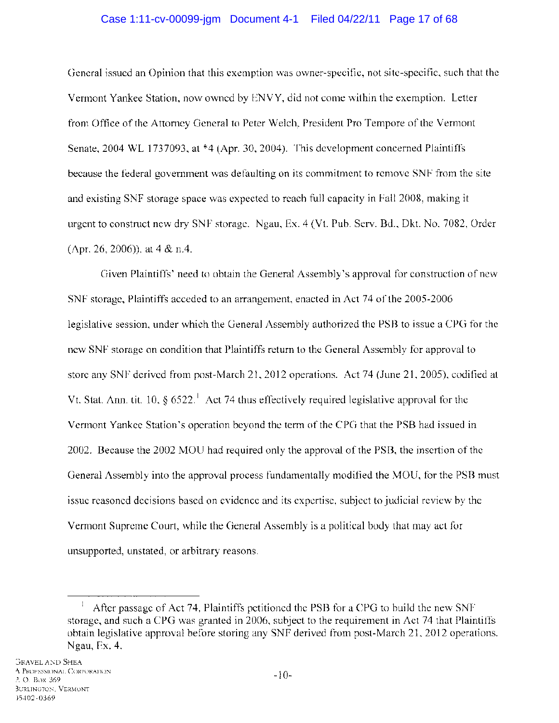### Case 1:11-cv-00099-jgm Document 4-1 Filed 04/22/11 Page 17 of 68

General issued an Opinion that this exemption was owner-specific, not site-specific, such that the Vermont Yankee Station, now owned by ENVY, did not come within the exemption. Letter from Office of the Attorney General to Peter Welch, President Pro Tempore of the Vermont Senate, 2004 WL 1737093, at \*4 (Apr. 30,2004). This development concerned Plaintiffs because the federal government was defaulting on its commitment to remove SNF from the site and existing SNF storage space was expected to reach full capacity in Fall 2008, making it urgent to construct new dry SNF storage. Ngau, Ex. 4 (Vt. Pub. Serv. Bd., Dkt. No. 7082, Order (Apr. 26, 2006)), at 4 & n.4.

Given Plaintiffs' need to obtain the General Assembly's approval for construction of new SNF storage, Plaintiffs acceded to an arrangement, enacted in Act 74 of the 2005-2006 legislative session, under which the General Assembly authorized the PSB to issue a CPG for the new SNF storage on condition that Plaintiffs return to the General Assembly for approval to store any SNF derived from post-March 21,2012 operations. Act 74 (June 21, 2005), codified at Vt. Stat. Ann. tit. 10,  $\S 6522<sup>1</sup>$  Act 74 thus effectively required legislative approval for the Vermont Yankee Station's operation beyond the term of the CPG that the PSB had issued in 2002. Because the 2002 MOU had required only the approval of the PSB, the insertion of the General Assembly into the approval process fundamentally modified the MOU, for the PSB must issue reasoned decisions based on evidence and its expertise, subject to judicial review by the Vermont Supreme Court, while the General Assembly is a political body that may act for unsupported, unstated, or arbitrary reasons.

<sup>,</sup> After passage of Act 74, Plaintiffs petitioned the PSB for a CPG to build the new SNF storage, and such a CPG was granted in 2006, subject to the requirement in Act 74 that Plaintiffs obtain legislative approval before storing any SNF derived from post-March 21,2012 operations. Ngau, Ex. 4.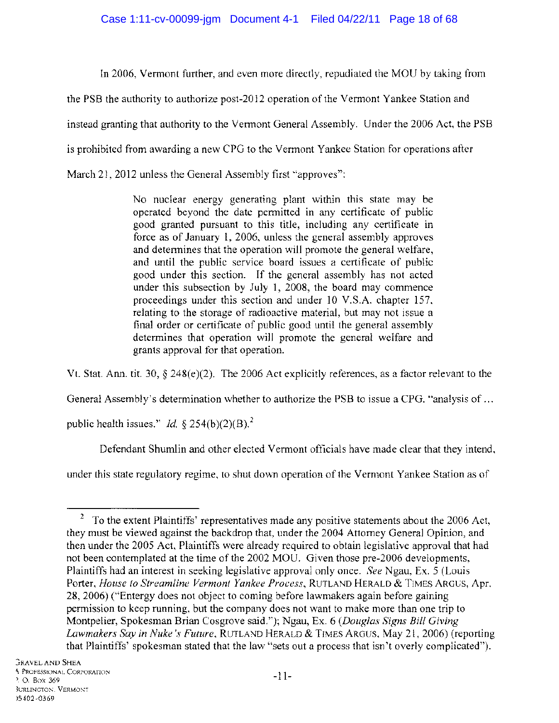In 2006, Vermont further, and even more directly, repudiated the MOU by taking from

the PSB the authority to authorize post-20 12 operation of the Vermont Yankee Station and instead granting that authority to the Vermont General Assembly. Under the 2006 Act, the PSB is prohibited from awarding a new CPG to the Vermont Yankee Station for operations after March 21, 2012 unless the General Assembly first "approves":

> No nuclear energy generating plant within this state may be operated beyond the date permitted in any certificate of public good granted pursuant to this title, including any certificate in force as of January 1, 2006, unless the general assembly approves and determines that the operation will promote the general welfare, and until the public service board issues a certificate of public good under this section. If the general assembly has not acted under this subsection by July 1, 2008, the board may commence proceedings under this section and under 10 V.S.A. chapter 157, relating to the storage of radioactive material, but may not issue a final order or certificate of public good until the general assembly determines that operation will promote the general welfare and grants approval for that operation.

Vt. Stat. Ann. tit. 30,  $\S 248(e)(2)$ . The 2006 Act explicitly references, as a factor relevant to the

General Assembly's determination whether to authorize the PSB to issue a CPG, "analysis of ...

public health issues." *Id.*  $\frac{6}{2}$  254(b)(2)(B).<sup>2</sup>

Defendant Shumlin and other elected Vermont officials have made clear that they intend,

under this state regulatory regime, to shut down operation of the Vermont Yankee Station as of

<sup>2</sup> To the extent Plaintiffs' representatives made any positive statements about the 2006 Act, they must be viewed against the backdrop that, under the 2004 Attorney General Opinion, and then under the 2005 Act, Plaintiffs were already required to obtain legislative approval that had not been contemplated at the time of the 2002 MOU. Given those pre-2006 developments, Plaintiffs had an interest in seeking legislative approval only once. *See* Ngau, Ex. 5 (Louis Porter, *House to Streamline Vermont Yankee Process,* RUTLAND HERALD & TIMES ARGUS, Apr. 28, 2006) ("Entergy does not object to coming before lawmakers again before gaining permission to keep running, but the company does not want to make more than one trip to Montpelier, Spokesman Brian Cosgrove said."); Ngau, Ex. 6 *(Douglas Signs Bill Giving Lawmakers Say in Nuke's Future,* RUTLAND HERALD & TIMES ARGUS, May 21, 2006) (reporting that Plaintiffs' spokesman stated that the law "sets out a process that isn't overly complicated").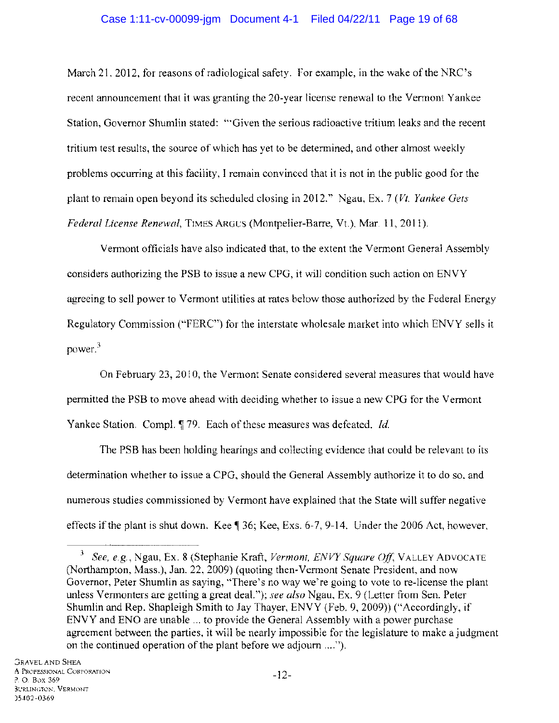### Case 1:11-cv-00099-jgm Document 4-1 Filed 04/22/11 Page 19 of 68

March 21, 2012, for reasons of radiological safety. For example, in the wake of the NRC's recent announcement that it was granting the 20-year license renewal to the Vermont Yankee Station, Governor Shumlin stated: '''Given the serious radioactive tritium leaks and the recent tritium test results, the source of which has yet to be determined, and other almost weekly problems occurring at this facility, I remain convinced that it is not in the public good for the plant to remain open beyond its scheduled closing in 2012." Ngau, Ex. 7 *(Vt. Yankee Gets Federal License Renewal,* TIMES ARGUS (Montpelier-Barre, Vt.), Mar. 11,2011).

Vermont officials have also indicated that, to the extent the Vermont General Assembly considers authorizing the PSB to issue a new CPG, it will condition such action on ENVY agreeing to sell power to Vermont utilities at rates below those authorized by the Federal Energy Regulatory Commission ("FERC") for the interstate wholesale market into which ENVY sells it power.<sup>3</sup>

On February 23, 2010, the Vermont Senate considered several measures that would have permitted the PSB to move ahead with deciding whether to issue a new CPG for the Vermont Yankee Station. Compl.  $\sqrt{ }$  79. Each of these measures was defeated. *Id.* 

The PSB has been holding hearings and collecting evidence that could be relevant to its determination whether to issue a CPG, should the General Assembly authorize it to do so, and numerous studies commissioned by Vermont have explained that the State will suffer negative effects if the plant is shut down. Kee  $\sqrt{ }$  36; Kee, Exs. 6-7, 9-14. Under the 2006 Act, however,

*<sup>3</sup> See, e.g.,* Ngau, Ex. 8 (Stephanie Kraft, *Vermont, ENVY Square Off,* VALLEY ADVOCATE (Northampton, Mass.), Jan. 22, 2009) (quoting then-Vermont Senate President, and now Governor, Peter Shurnlin as saying, "There's no way we're going to vote to re-license the plant unless Vermonters are getting a great deal."); *see also* Ngau, Ex. 9 (Letter from Sen. Peter Shumlin and Rep. Shapleigh Smith to Jay Thayer, ENVY (Feb. 9, 2009») ("Accordingly, if ENVY and ENO are unable ... to provide the General Assembly with a power purchase agreement between the parties, it will be nearly impossible for the legislature to make a judgment on the continued operation of the plant before we adjourn .... ").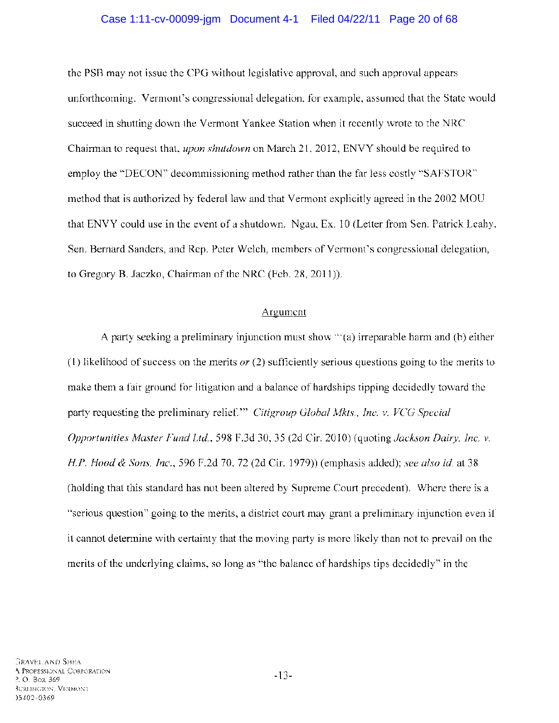#### Case 1:11-cv-00099-jgm Document 4-1 Filed 04/22/11 Page 20 of 68

the PSB may not issue the CPG without legislative approval, and such approval appears unforthcoming. Vermont's congressional delegation, for example, assumed that the State would succeed in shutting down the Vermont Yankee Station when it recently wrote to the NRC Chairman to request that, *upon shutdown* on March 21, 2012, ENVY should be required to employ the "DECON" decommissioning method rather than the far less costly "SAFSTOR" method that is authorized by federal law and that Vermont explicitly agreed in the 2002 MOU that ENVY could use in the event of a shutdown. Ngau, Ex. 10 (Letter from Sen. Patrick Leahy, Sen. Bernard Sanders, and Rep. Peter Welch, members of Vermont's congressional delegation, to Gregory B. Jaczko, Chairman of the NRC (Feb. 28, 2011)).

#### **Argument**

A party seeking a preliminary injunction must show '''(a) irreparable harm and (b) either (1) likelihood of success on the merits *or* (2) sufficiently serious questions going to the merits to make them a fair ground for litigation and a balance of hardships tipping decidedly toward the party requesting the preliminary relief. '" *Citigroup Global Mkts., Inc.* v. *VCG Special Opportunities Master Fund Ltd.,* 598 F.3d 30,35 (2d Cir. 2010) (quoting *Jackson Dairy, Inc.* v. *HP. Hood* & *Sons, Inc.,* 596 F.2d 70, 72 (2d Cir. 1979)) (emphasis added); *see also id.* at 38 (holding that this standard has not been altered by Supreme Court precedent). Where there is a "serious question" going to the merits, a district court may grant a preliminary injunction even if it cannot determine with certainty that the moving party is more likely than not to prevail on the merits of the underlying claims, so long as "the balance of hardships tips decidedly" in the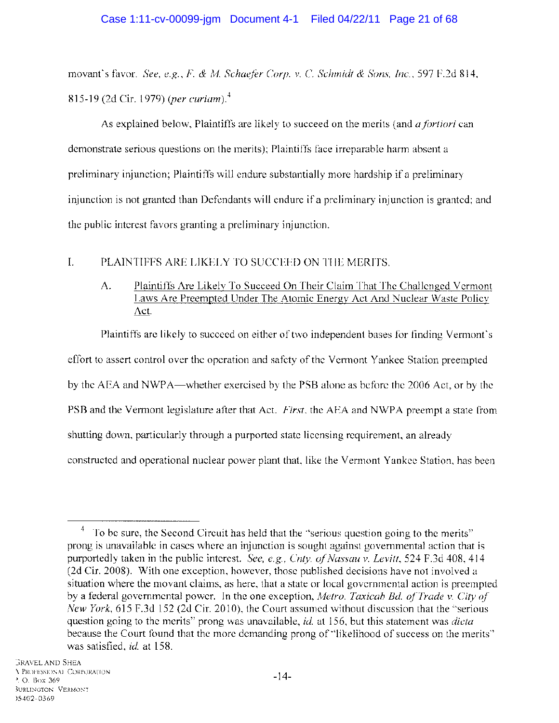movant's favor. *See, e.g.,* F. & *M Schaefer Corp. v.* C. *Schmidt* & *Sons, Inc.,* 597 F.2d 814, 815-19 (2d Cir. 1979) *(per curiam).4* 

As explained below, Plaintiffs are likely to succeed on the merits (and *afortiori* can demonstrate serious questions on the merits); Plaintiffs face irreparable harm absent a preliminary injunction; Plaintiffs will endure substantially more hardship if a preliminary injunction is not granted than Defendants will endure if a preliminary injunction is granted; and the public interest favors granting a preliminary injunction.

## I. PLAINTIFFS ARE LIKELY TO SUCCEED ON THE MERITS.

## A. Plaintiffs Are Likely To Succeed On Their Claim That The Challenged Vermont Laws Are Preempted Under The Atomic Energy Act And Nuclear Waste Policy Act.

Plaintiffs are likely to succeed on either of two independent bases for finding Vermont's effort to assert control over the operation and safety of the Vermont Yankee Station preempted by the AEA and NWPA—whether exercised by the PSB alone as before the 2006 Act, or by the PSB and the Vermont legislature after that Act. *First,* the AEA and NWP A preempt a state from shutting down, particularly through a purported state licensing requirement, an already constructed and operational nuclear power plant that, like the Vermont Yankee Station, has been

 $4\degree$  To be sure, the Second Circuit has held that the "serious question going to the merits" prong is unavailable in cases where an injunction is sought against governmental action that is purportedly taken in the public interest. *See, e.g., Cnty. of Nassau v. Levitt,* 524 F.3d 408, 414 (2d Cir. 2008). With one exception, however, those published decisions have not involved a situation where the movant claims, as here, that a state or local governmental action is preempted by a federal governmental power. In the one exception, *Metro. Taxicab Bd. of Trade v. City of New York,* 615 F.3d 152 (2d Cir. 2010), the Court assumed without discussion that the "serious question going to the merits" prong was unavailable, *id.* at 156, but this statement was *dicta*  because the Court found that the more demanding prong of "likelihood of success on the merits" was satisfied, *id.* at 158.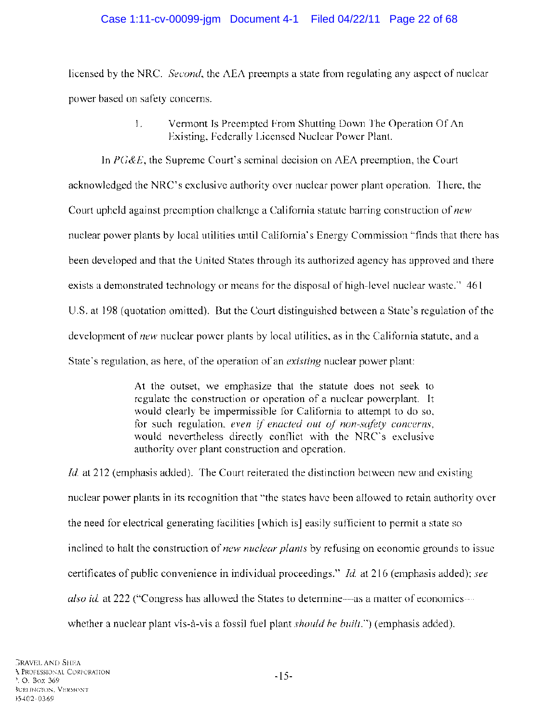### Case 1:11-cv-00099-jgm Document 4-1 Filed 04/22/11 Page 22 of 68

licensed by the NRC. *Second,* the AEA preempts a state from regulating any aspect of nuclear power based on safety concerns.

> 1. Vermont Is Preempted From Shutting Down The Operation Of An Existing, Federally Licensed Nuclear Power Plant.

**In** *PG&E,* the Supreme Court's seminal decision on AEA preemption, the Court acknowledged the NRC's exclusive authority over nuclear power plant operation. There, the Court upheld against preemption challenge a California statute barring construction of *new*  nuclear power plants by local utilities until California's Energy Commission "finds that there has been developed and that the United States through its authorized agency has approved and there exists a demonstrated technology or means for the disposal of high-level nuclear waste." 461 U.S. at 198 (quotation omitted). But the Court distinguished between a State's regulation of the development of *new* nuclear power plants by local utilities, as in the California statute, and a State's regulation, as here, of the operation of an *existing* nuclear power plant:

> At the outset, we emphasize that the statute does not seek to regulate the construction or operation of a nuclear powerplant. It would clearly be impermissible for California to attempt to do so, for such regulation, *even* if *enacted out of non-safety concerns,*  would nevertheless directly conflict with the NRC's exclusive authority over plant construction and operation.

*Id.* at 212 (emphasis added). The Court reiterated the distinction between new and existing nuclear power plants in its recognition that "the states have been allowed to retain authority over the need for electrical generating facilities [which is] easily sufficient to permit a state so inclined to halt the construction of *new nuclear plants* by refusing on economic grounds to issue certificates of public convenience in individual proceedings." *Id.* at 216 (emphasis added); *see also id.* at 222 ("Congress has allowed the States to determine—as a matter of economics whether a nuclear plant vis-à-vis a fossil fuel plant *should be built*.") (emphasis added).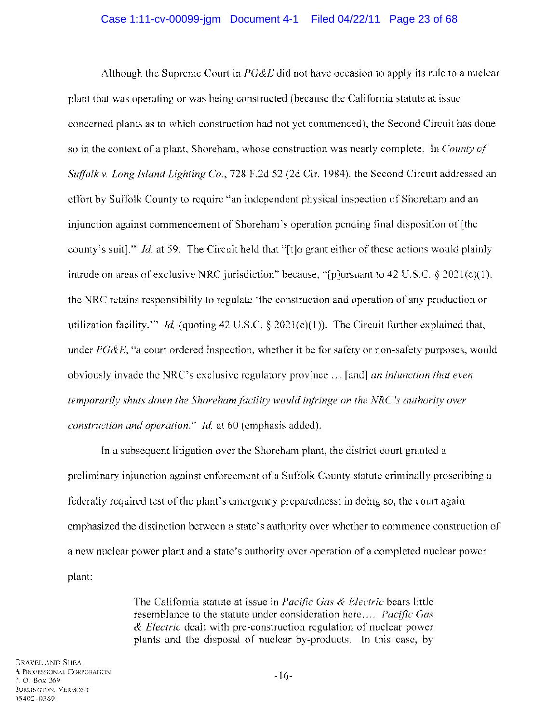Although the Supreme Court in *PG&E* did not have occasion to apply its rule to a nuclear plant that was operating or was being constructed (because the California statute at issue concerned plants as to which construction had not yet commenced), the Second Circuit has done so in the context of a plant, Shoreham, whose construction was nearly complete. In *County of Suffolk* v. *Long Island Lighting Co.,* 728 F.2d 52 (2d Cir. 1984), the Second Circuit addressed an effort by Suffolk County to require "an independent physical inspection of Shoreham and an injunction against commencement of Shoreham's operation pending final disposition of [the county's suit]." *Id.* at 59. The Circuit held that "[t]o grant either of these actions would plainly intrude on areas of exclusive NRC jurisdiction" because, "[p]ursuant to 42 U.S.c. § 2021(c)(l), the NRC retains responsibility to regulate 'the construction and operation of any production or utilization facility.'" *Id.* (quoting 42 U.S.C. § 2021(c)(l)). The Circuit further explained that, under *PG&E,* "a court ordered inspection, whether it be for safety or non-safety purposes, would obviously invade the NRC's exclusive regulatory province ... [and] *an injunction that even temporarily shuts down the Shoreham facility would infringe on the NRC's authority over construction and operation." Id.* at 60 (emphasis added).

In a subsequent litigation over the Shoreham plant, the district court granted a preliminary injunction against enforcement of a Suffolk County statute criminally proscribing a federally required test of the plant's emergency preparedness; in doing so, the court again emphasized the distinction between a state's authority over whether to commence construction of a new nuclear power plant and a state's authority over operation of a completed nuclear power plant:

> The California statute at issue in *Pacific Gas* & *Electric* bears little resemblance to the statute under consideration here .... *Pacific Gas & Electric* dealt with pre-construction regulation of nuclear power plants and the disposal of nuclear by-products. In this case, by

GRAVEL AND SHEA 1\ PROFESSIONAL CORPORATION P. O. Box 369 3URLINGTON. VERMONT )5402-0369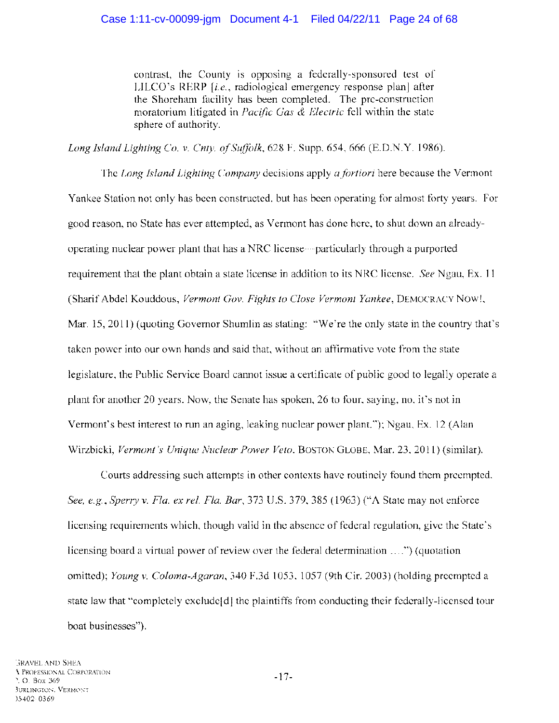contrast, the County is opposing a federally-sponsored test of LILCO's RERP *[i.e.,* radiological emergency response plan] after the Shoreham facility has been completed. The pre-construction moratorium litigated in *Pacific Gas* & *Electric* fell within the state sphere of authority.

*Long Island Lighting Co.* v. *Cnty. of Suffolk,* 628 F. Supp. 654,666 (E.D.N.Y. 1986).

The *Long Island Lighting Company* decisions apply *a fortiori* here because the Vermont Yankee Station not only has been constructed, but has been operating for almost forty years. For good reason, no State has ever attempted, as Vermont has done here, to shut down an alreadyoperating nuclear power plant that has a NRC license-particularly through a purported requirement that the plant obtain a state license in addition to its NRC license. *See* Ngau, Ex. 11 (Sharif Abdel Kouddous, *Vermont Gov. Fights to Close Vermont Yankee,* DEMOCRACY Now!, Mar. 15, 2011) (quoting Governor Shumlin as stating: "We're the only state in the country that's taken power into our own hands and said that, without an affirmative vote from the state legislature, the Public Service Board cannot issue a certificate of public good to legally operate a plant for another 20 years. Now, the Senate has spoken, 26 to four, saying, no, it's not in Vermont's best interest to run an aging, leaking nuclear power plant."); Ngau, Ex. 12 (Alan Wirzbicki, *Vermont's Unique Nuclear Power Veto,* BOSTON GLOBE, Mar. 23, 2011) (similar).

Courts addressing such attempts in other contexts have routinely found them preempted. *See, e.g., Sperry v. Fla. ex rei. Fla. Bar,* 373 U.S. 379, 385 (1963) ("A State may not enforce licensing requirements which, though valid in the absence of federal regulation, give the State's licensing board a virtual power of review over the federal determination .... ") (quotation omitted); *Young v. Coloma-Agaran,* 340 F.3d 1053, 1057 (9th Cir. 2003) (holding preempted a state law that "completely exclude[d] the plaintiffs from conducting their federally-licensed tour boat businesses").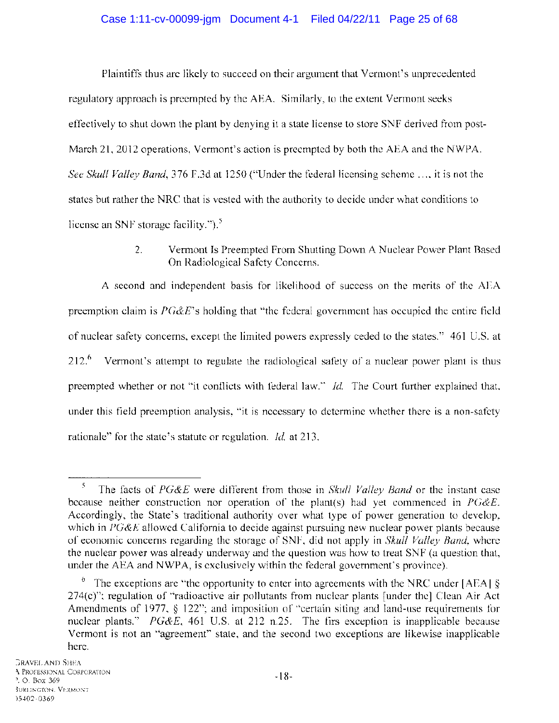### Case 1:11-cv-00099-jgm Document 4-1 Filed 04/22/11 Page 25 of 68

Plaintiffs thus are likely to succeed on their argument that Vermont's unprecedented regulatory approach is preempted by the AEA. Similarly, to the extent Vermont seeks effectively to shut down the plant by denying it a state license to store SNF derived from post-March 21, 2012 operations, Vermont's action is preempted by both the AEA and the NWPA. *See Skull Valley Band,* 376 F.3d at 1250 ("Under the federal licensing scheme ..., it is not the states but rather the NRC that is vested with the authority to decide under what conditions to license an SNF storage facility.").<sup>5</sup>

> 2. Vermont Is Preempted From Shutting Down A Nuclear Power Plant Based On Radiological Safety Concerns.

A second and independent basis for likelihood of success on the merits of the AEA preemption claim is *PG&E's* holding that "the federal government has occupied the entire field of nuclear safety concerns, except the limited powers expressly ceded to the states." 461 U.S. at  $212<sup>6</sup>$  Vermont's attempt to regulate the radiological safety of a nuclear power plant is thus preempted whether or not "it conflicts with federal law." *Id.* The Court further explained that, under this field preemption analysis, "it is necessary to determine whether there is a non-safety rationale" for the state's statute or regulation. *Id.* at 213.

<sup>5</sup> The facts of *PG&E* were different from those in *Skull Valley Band* or the instant case because neither construction nor operation of the plant(s) had yet commenced in *PG&E.*  Accordingly, the State's traditional authority over what type of power generation to develop, which in *PG&E* allowed California to decide against pursuing new nuclear power plants because of economic concerns regarding the storage of SNF, did not apply in *Skull Valley Band,* where the nuclear power was already underway and the question was how to treat SNF (a question that, under the AEA and NWPA, is exclusively within the federal government's province).

<sup>&</sup>lt;sup>6</sup> The exceptions are "the opportunity to enter into agreements with the NRC under [AEA]  $\S$ 274(c)"; regulation of "radioactive air pollutants from nuclear plants [under the] Clean Air Act Amendments of 1977, § 122"; and imposition of "certain siting and land-use requirements for nuclear plants." *PG&E*, 461 U.S. at 212 n.25. The firs exception is inapplicable because Vermont is not an "agreement" state, and the second two exceptions are likewise inapplicable here.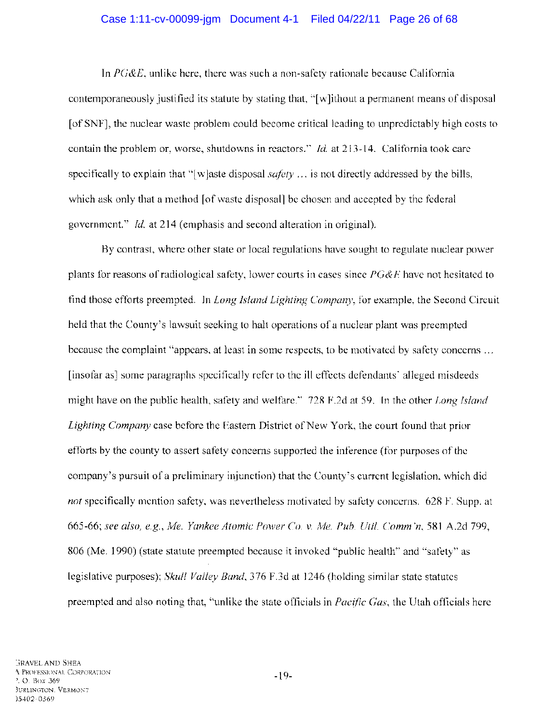#### Case 1:11-cv-00099-jgm Document 4-1 Filed 04/22/11 Page 26 of 68

In *PG&E,* unlike here, there was such a non-safety rationale because California contemporaneously justified its statute by stating that, "[w]ithout a permanent means of disposal [of SNF], the nuclear waste problem could become critical leading to unpredictably high costs to contain the problem or, worse, shutdowns in reactors." *Id.* at 213-14. California took care specifically to explain that " $[w]$  aste disposal *safety ...* is not directly addressed by the bills, which ask only that a method [of waste disposal] be chosen and accepted by the federal government." *Id.* at 214 (emphasis and second alteration in original).

By contrast, where other state or local regulations have sought to regulate nuclear power plants for reasons of radiological safety, lower courts in cases since *PG&E* have not hesitated to find those efforts preempted. In *Long Island Lighting Company,* for example, the Second Circuit held that the County's lawsuit seeking to halt operations of a nuclear plant was preempted because the complaint "appears, at least in some respects, to be motivated by safety concerns ... [insofar as] some paragraphs specifically refer to the ill effects defendants' alleged misdeeds might have on the public health, safety and welfare." 728 F.2d at 59. In the other *Long Island Lighting Company* case before the Eastern District of New York, the court found that prior efforts by the county to assert safety concerns supported the inference (for purposes of the company's pursuit of a preliminary injunction) that the County's current legislation, which did *not* specifically mention safety, was nevertheless motivated by safety concerns. 628 F. Supp. at *665-66; see also, e.g., Me. Yankee Atomic Power Co.* v. *Me. Pub. Util. Comm 'n,* 581 A.2d 799, 806 (Me. 1990) (state statute preempted because it invoked "public health" and "safety" as legislative purposes); *Skull Valley Band,* 376 F.3d at 1246 (holding similar state statutes preempted and also noting that, "unlike the state officials in *Pacific Gas,* the Utah officials here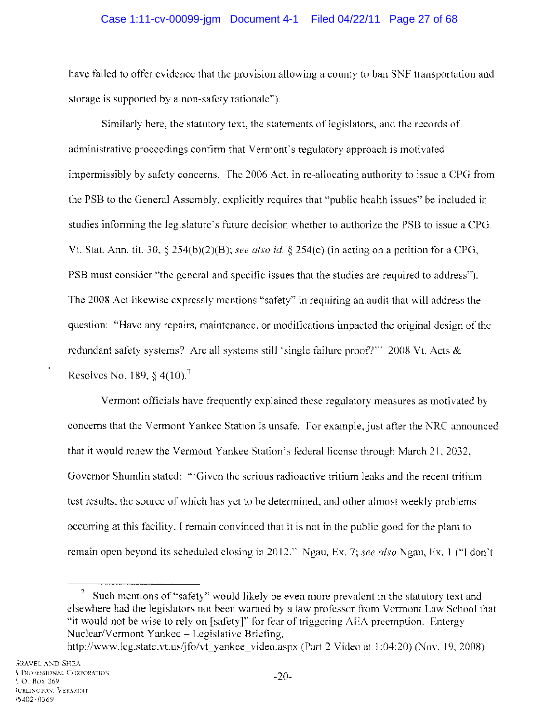### Case 1:11-cv-00099-jgm Document 4-1 Filed 04/22/11 Page 27 of 68

have failed to offer evidence that the provision allowing a county to ban SNF transportation and storage is supported by a non-safety rationale").

Similarly here, the statutory text, the statements of legislators, and the records of administrative proceedings confirm that Vermont's regulatory approach is motivated impermissibly by safety concerns. The 2006 Act, in re-allocating authority to issue a CPG from the PSB to the General Assembly, explicitly requires that "public health issues" be included in studies informing the legislature'S future decision whether to authorize the PSB to issue a CPG. Vt. Stat. Ann. tit. 30, § 2S4(b)(2)(B); see also *id.* § 2S4(c) (in acting on a petition for a CPG, PSB must consider "the general and specific issues that the studies are required to address"). The 2008 Act likewise expressly mentions "safety" in requiring an audit that will address the question: "Have any repairs, maintenance, or modifications impacted the original design of the redundant safety systems? Are all systems still 'single failure proof?'" 2008 Vt. Acts & Resolves No. 189, § 4(10).7

Vermont officials have frequently explained these regulatory measures as motivated by concerns that the Vermont Yankee Station is unsafe. For example, just after the NRC announced that it would renew the Vermont Yankee Station's federal license through March 21,2032, Governor Shumlin stated: "'Given the serious radioactive tritium leaks and the recent tritium test results, the source of which has yet to be determined, and other almost weekly problems occurring at this facility, I remain convinced that it is not in the public good for the plant to remain open beyond its scheduled closing in 2012." Ngau, Ex. 7; see also Ngau, Ex. 1 ("I don't

http://www.leg.state.vt.us/jfo/vt yankee\_video.aspx (Part 2 Video at 1:04:20) (Nov. 19, 2008).

 $7$  Such mentions of "safety" would likely be even more prevalent in the statutory text and elsewhere had the legislators not been warned by a law professor from Vermont Law School that "it would not be wise to rely on [safety]" for fear of triggering AEA preemption. Entergy Nuclear/Vermont Yankee - Legislative Briefing,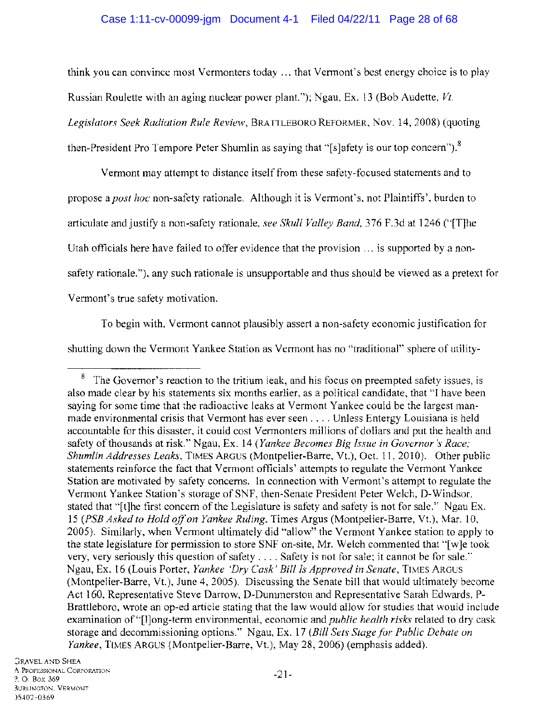#### Case 1:11-cv-00099-jgm Document 4-1 Filed 04/22/11 Page 28 of 68

think you can convince most Vermonters today ... that Vermont's best energy choice is to play Russian Roulette with an aging nuclear power plant."); Ngau, Ex. 13 (Bob Audette, *Vt. Legislators Seek Radiation Rule Review,* BRATTLEBORO REFORMER, Nov. 14,2008) (quoting then-President Pro Tempore Peter Shumlin as saying that "[s]afety is our top concern").<sup>8</sup>

Vermont may attempt to distance itself from these safety-focused statements and to propose a *post hoc* non-safety rationale. Although it is Vermont's, not Plaintiffs', burden to articulate and justify a non-safety rationale, *see Skull Valley Band,* 376 F.3d at 1246 ("[T]he Utah officials here have failed to offer evidence that the provision ... is supported by a nonsafety rationale."), any such rationale is unsupportable and thus should be viewed as a pretext for Vermont's true safety motivation.

To begin with, Vermont cannot plausibly assert a non-safety economic justification for

shutting down the Vermont Yankee Station as Vermont has no "traditional" sphere of utility-

 $8$  The Governor's reaction to the tritium leak, and his focus on preempted safety issues, is also made clear by his statements six months earlier, as a political candidate, that "I have been saying for some time that the radioactive leaks at Vermont Yankee could be the largest manmade environmental crisis that Vermont has ever seen .... Unless Entergy Louisiana is held accountable for this disaster, it could cost Vermonters millions of dollars and put the health and safety of thousands at risk." Ngau, Ex. 14 *(Yankee Becomes Big Issue in Governor's Race; Shumlin Addresses Leaks,* TIMES ARGUS (Montpelier-Barre, Vt.), Oct. 11,2010). Other public statements reinforce the fact that Vermont officials' attempts to regulate the Vermont Yankee Station are motivated by safety concerns. In connection with Vermont's attempt to regulate the Vermont Yankee Station's storage of SNF, then-Senate President Peter Welch, D-Windsor, stated that "[t]he first concern of the Legislature is safety and safety is not for sale." Ngau Ex. *15 (PSB Asked to Hold offon Yankee Ruling,* Times Argus (Montpelier-Barre, Vt.), Mar. 10, 2005). Similarly, when Vermont ultimately did "allow" the Vermont Yankee station to apply to the state legislature for permission to store SNF on-site, Mr. Welch commented that "[w]e took very, very seriously this question of safety .... Safety is not for sale; it cannot be for sale." Ngau, Ex. 16 (Louis Porter, *Yankee 'Dry Cask' Bill Is Approved in Senate,* TIMES ARGUS (Montpelier-Barre, Vt.), June 4, 2005). Discussing the Senate bill that would ultimately become Act 160, Representative Steve Darrow, D-Dummerston and Representative Sarah Edwards, P-Brattleboro, wrote an op-ed article stating that the law would allow for studies that would include examination of "[l]ong-term environmental, economic and *public health risks* related to dry cask storage and decommissioning options." Ngau, Ex. 17 *(Bill Sets Stage for Public Debate on Yankee,* TIMES ARGUS (Montpelier-Barre, Vt.), May 28, 2006) (emphasis added).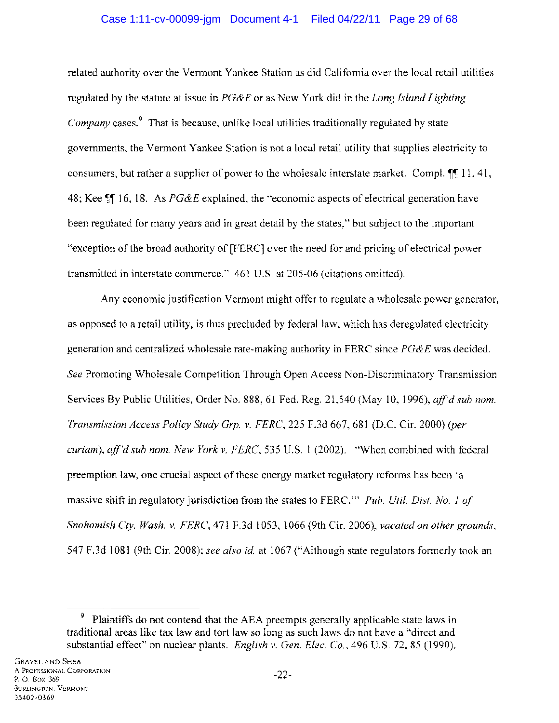### Case 1:11-cv-00099-jgm Document 4-1 Filed 04/22/11 Page 29 of 68

related authority over the Vermont Yankee Station as did California over the local retail utilities regulated by the statute at issue in *PG&E* or as New York did in the *Long Island Lighting Company* cases.9 That is because, unlike local utilities traditionally regulated by state governments, the Vennont Yankee Station is not a local retail utility that supplies electricity to consumers, but rather a supplier of power to the wholesale interstate market. Compl.  $\P^{\epsilon}$  11, 41, 48; Kee  $\mathbb{S}$  16, 18. As *PG&E* explained, the "economic aspects of electrical generation have been regulated for many years and in great detail by the states," but subject to the important "exception of the broad authority of [FERC] over the need for and pricing of electrical power transmitted in interstate commerce." 461 U.S. at 205-06 (citations omitted).

Any economic justification Vermont might offer to regulate a wholesale power generator, as opposed to a retail utility, is thus precluded by federal law, which has deregulated electricity generation and centralized wholesale rate-making authority in FERC since *PG&E* was decided. *See* Promoting Wholesale Competition Through Open Access Non-Discriminatory Transmission Services By Public Utilities, Order No. 888, 61 Fed. Reg. 21,540 (May 10, 1996), *aff'd sub nom. Transmission Access Policy Study Grp.* v. *FERC,* 225 F.3d 667,681 (D.C. Cir. 2000) *(per curiam), aff'd sub nom. New York* v. *FERC,* 535 U.S. 1 (2002). "When combined with federal preemption law, one crucial aspect of these energy market regulatory reforms has been 'a massive shift in regulatory jurisdiction from the states to FERC.'" *Pub. Uti!. Dist. No. 1 of Snohomish Cty. Wash.* v. *FERC,* 471 F.3d 1053, 1066 (9th Cir. 2006), *vacated on other grounds,*  547 F .3d 1081 (9th Cir. 2008); *see also id.* at 1067 ("Although state regulators formerly took an

<sup>&</sup>lt;sup>9</sup> Plaintiffs do not contend that the AEA preempts generally applicable state laws in traditional areas like tax law and tort law so long as such laws do not have a "direct and substantial effect" on nuclear plants. *English* v. *Gen. Elec. Co.,* 496 U.S. 72, 85 (1990).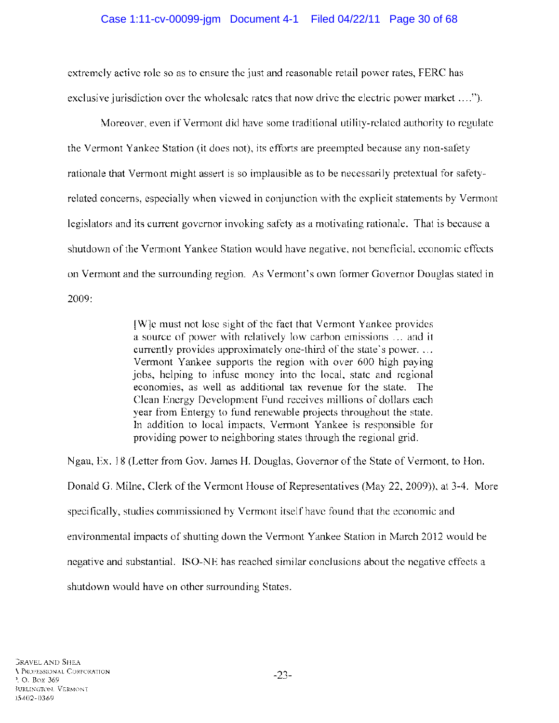### Case 1:11-cv-00099-jgm Document 4-1 Filed 04/22/11 Page 30 of 68

extremely active role so as to ensure the just and reasonable retail power rates, FERC has exclusive jurisdiction over the wholesale rates that now drive the electric power market ....").

Moreover, even if Vermont did have some traditional utility-related authority to regulate the Vermont Yankee Station (it does not), its efforts are preempted because any non-safety rationale that Vermont might assert is so implausible as to be necessarily pretextual for safetyrelated concerns, especially when viewed in conjunction with the explicit statements by Vermont legislators and its current governor invoking safety as a motivating rationale. That is because a shutdown of the Vermont Yankee Station would have negative, not beneficial, economic effects on Vermont and the surrounding region. As Vermont's own former Governor Douglas stated in 2009:

> [W]e must not lose sight of the fact that Vermont Yankee provides a source of power with relatively low carbon emissions ... and it currently provides approximately one-third of the state's power. ... Vermont Yankee supports the region with over 600 high paying jobs, helping to infuse money into the local, state and regional economies, as well as additional tax revenue for the state. The Clean Energy Development Fund receives millions of dollars each year from Entergy to fund renewable projects throughout the state. In addition to local impacts, Vermont Yankee is responsible for providing power to neighboring states through the regional grid.

Ngau, Ex. 18 (Letter from Gov. James H. Douglas, Governor of the State of Vermont, to Hon. Donald G. Milne, Clerk of the Vermont House of Representatives (May 22,2009)), at 3-4. More specifically, studies commissioned by Vermont itself have found that the economic and environmental impacts of shutting down the Vermont Yankee Station in March 2012 would be negative and substantial. ISO-NE has reached similar conclusions about the negative effects a shutdown would have on other surrounding States.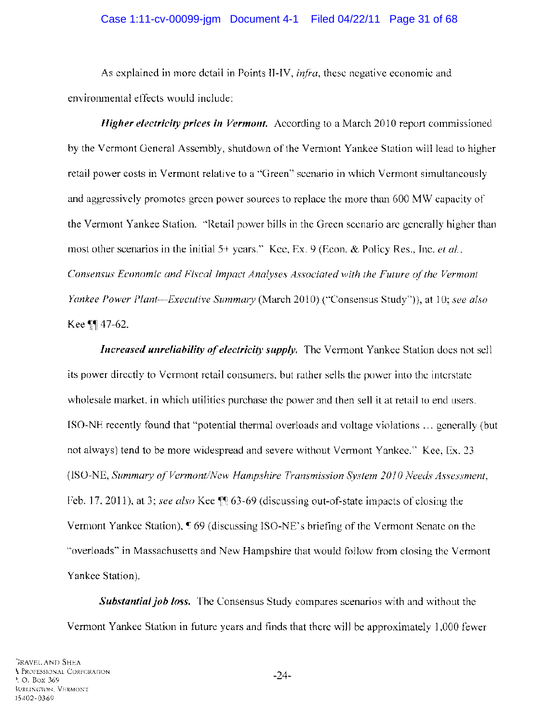### Case 1:11-cv-00099-jgm Document 4-1 Filed 04/22/11 Page 31 of 68

As explained in more detail in Points II-IV, *infra,* these negative economic and environmental effects would include:

*Higher electricity prices in Vermont.* According to a March 2010 report commissioned by the Vermont General Assembly, shutdown of the Vermont Yankee Station will lead to higher retail power costs in Vermont relative to a "Green" scenario in which Vermont simultaneously and aggressively promotes green power sources to replace the more than 600 MW capacity of the Vermont Yankee Station. "Retail power bills in the Green scenario are generally higher than most other scenarios in the initial 5+ years." Kee, Ex. 9 (Econ. & Policy Res., Inc. *et ai., Consensus Economic and Fiscal Impact Analyses Associated with the Future of the Vermont Yankee Power Plant-Executive Summary* (March 2010) ("Consensus Study")), at 10; *see also*  Kee  $\P$  47-62.

*Increased unreliability of electricity supply.* The Vermont Yankee Station does not sell its power directly to Vermont retail consumers, but rather sells the power into the interstate wholesale market, in which utilities purchase the power and then sell it at retail to end users. ISO-NE recently found that "potential thermal overloads and voltage violations ... generally (but not always) tend to be more widespread and severe without Vermont Yankee." Kee, Ex. 23 (ISO-NE, *Summary of Vermont/New Hampshire Transmission System 2010 Needs Assessment,*  Feb. 17, 2011), at 3; *see also* Kee <sup>on</sup> 63-69 (discussing out-of-state impacts of closing the Vermont Yankee Station),  $\sqrt{69}$  (discussing ISO-NE's briefing of the Vermont Senate on the "overloads" in Massachusetts and New Hampshire that would follow from closing the Vermont Yankee Station).

*Substantial job loss.* The Consensus Study compares scenarios with and without the Vermont Yankee Station in future years and finds that there will be approximately 1,000 fewer

-24-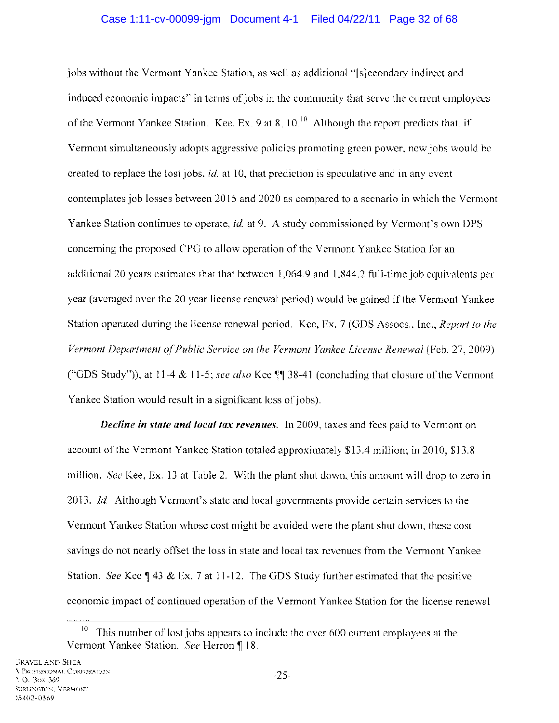### Case 1:11-cv-00099-jgm Document 4-1 Filed 04/22/11 Page 32 of 68

jobs without the Vermont Yankee Station, as well as additional "[ s ]econdary indirect and induced economic impacts" in terms of jobs in the community that serve the current employees of the Vermont Yankee Station. Kee, Ex. 9 at 8,  $10^{10}$  Although the report predicts that, if Vermont simultaneously adopts aggressive policies promoting green power, new jobs would be created to replace the lost jobs, *id.* at 10, that prediction is speculative and in any event contemplates job losses between 2015 and 2020 as compared to a scenario in which the Vermont Yankee Station continues to operate, *id.* at 9. A study commissioned by Vermont's own DPS concerning the proposed CPO to allow operation of the Vermont Yankee Station for an additional 20 years estimates that that between 1,064.9 and 1,844.2 full-time job equivalents per year (averaged over the 20 year license renewal period) would be gained if the Vermont Yankee Station operated during the license renewal period. Kee, Ex. 7 (ODS Assocs., Inc., *Report to the Vermont Department of Public Service on the Vermont Yankee License Renewal* (Feb. 27, 2009) ("GDS Study")), at 11-4  $&$  11-5; *see also* Kee  $~^{\circ}$  38-41 (concluding that closure of the Vermont Yankee Station would result in a significant loss of jobs).

*Decline in state and local tax revenues.* In 2009, taxes and fees paid to Vermont on account of the Vermont Yankee Station totaled approximately \$13.4 million; in 2010, \$13.8 million. *See* Kee, Ex. 13 at Table 2. With the plant shut down, this amount will drop to zero in *2013. Id.* Although Vermont's state and local governments provide certain services to the Vermont Yankee Station whose cost might be avoided were the plant shut down, these cost savings do not nearly offset the loss in state and local tax revenues from the Vermont Yankee Station. *See* Kee  $\parallel$  43 & Ex. 7 at 11-12. The GDS Study further estimated that the positive economic impact of continued operation of the Vermont Yankee Station for the license renewal

This number of lost jobs appears to include the over 600 current employees at the Vermont Yankee Station. See Herron ¶ 18.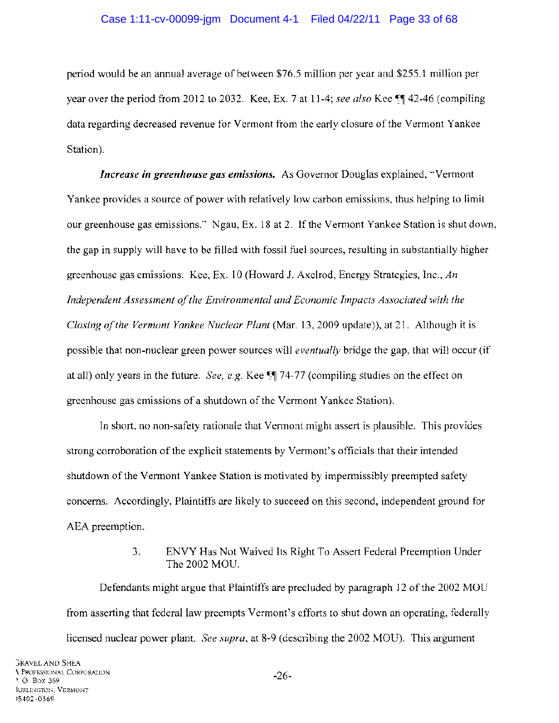#### Case 1:11-cv-00099-jgm Document 4-1 Filed 04/22/11 Page 33 of 68

period would be an annual average of between \$76.5 million per year and \$255.1 million per year over the period from 2012 to 2032. Kee, Ex. 7 at 11-4; *see also* Kee  $\llbracket$  42-46 (compiling data regarding decreased revenue for Vermont from the early closure of the Vermont Yankee Station).

*Increase in greenhouse gas emissions.* As Governor Douglas explained, "Vermont" Yankee provides a source of power with relatively low carbon emissions, thus helping to limit our greenhouse gas emissions." Ngau, Ex. 18 at 2. If the Vermont Yankee Station is shut down, the gap in supply will have to be filled with fossil fuel sources, resulting in substantially higher greenhouse gas emissions. Kee, Ex. 10 (Howard J. Axelrod, Energy Strategies, Inc., *An Independent Assessment of the Environmental and Economic Impacts Associated with the Closing of the Vermont Yankee Nuclear Plant* (Mar. 13,2009 update)), at 21. Although it is possible that non-nuclear green power sources will *eventually* bridge the gap, that will occur (if at all) only years in the future. *See, e.g.* Kee  $\mathbb{I}$  74-77 (compiling studies on the effect on greenhouse gas emissions of a shutdown of the Vermont Yankee Station).

In short, no non-safety rationale that Vermont might assert is plausible. This provides strong corroboration of the explicit statements by Vermont's officials that their intended shutdown of the Vermont Yankee Station is motivated by impermissibly preempted safety concerns. Accordingly, Plaintiffs are likely to succeed on this second, independent ground for AEA preemption.

#### 3. ENVY Has Not Waived Its Right To Assert Federal Preemption Under The 2002 MOU.

Defendants might argue that Plaintiffs are precluded by paragraph 12 of the 2002 MOU from asserting that federal law preempts Vermont's efforts to shut down an operating, federally licensed nuclear power plant. *See supra,* at 8-9 (describing the 2002 MOU). This argument

GRAVEL AND SHEA \ PROFESSIONAL CORPORATION '. O. Box 369 IURLINGTON, VERMONT )5402-0369

-26-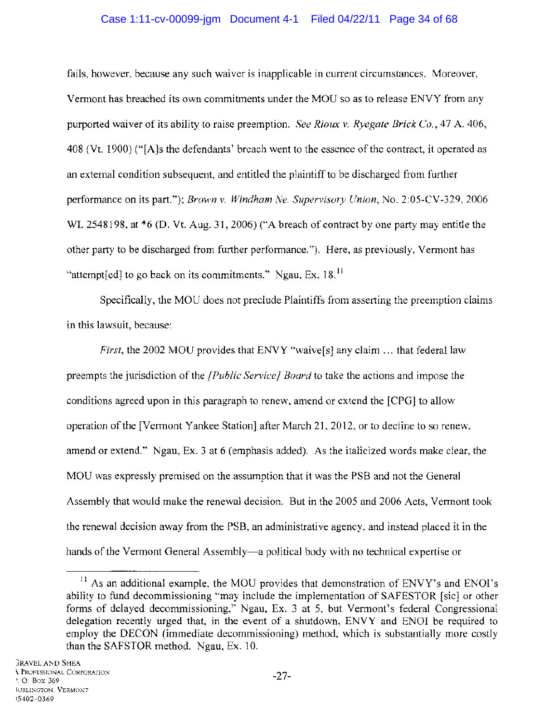### Case 1:11-cv-00099-jgm Document 4-1 Filed 04/22/11 Page 34 of 68

fails, however, because any such waiver is inapplicable in current circumstances. Moreover, Vermont has breached its own commitments under the MOU so as to release ENVY from any purported waiver of its ability to raise preemption. *See Rioux* v. *Ryegate Brick Co.,* 47 A. 406, 408 (Vt. 1900) ("[A]s the defendants' breach went to the essence of the contract, it operated as an external condition subsequent, and entitled the plaintiff to be discharged from further performance on its part."); *Brown* v. *Windham Ne. Supervisory Union,* No. 2:05-CV-329, 2006 WL 2548198, at \*6 (D. Vt. Aug. 31, 2006) ("A breach of contract by one party may entitle the other party to be discharged from further performance."). Here, as previously, Vermont has "attempt [ed] to go back on its commitments." Ngau, Ex.  $18$ <sup>11</sup>

Specifically, the MOU does not preclude Plaintiffs from asserting the preemption claims in this lawsuit, because:

*First*, the 2002 MOU provides that ENVY "waive<sup>[5]</sup> any claim ... that federal law preempts the jurisdiction of the *[Public Service J Board* to take the actions and impose the conditions agreed upon in this paragraph to renew, amend or extend the [CPG] to allow operation of the [Vermont Yankee Station] after March 21,2012, or to decline to so renew, amend or extend." Ngau, Ex. 3 at 6 (emphasis added). As the italicized words make clear, the MOO was expressly premised on the assumption that it was the PSB and not the General Assembly that would make the renewal decision. But in the 2005 and 2006 Acts, Vermont took the renewal decision away from the PSB, an administrative agency, and instead placed it in the hands of the Vermont General Assembly—a political body with no technical expertise or

<sup>&</sup>lt;sup>11</sup> As an additional example, the MOU provides that demonstration of ENVY's and ENOI's ability to fund decommissioning "may include the implementation of SAFESTOR [sic] or other forms of delayed decommissioning," Ngau, Ex. 3 at 5, but Vermont's federal Congressional delegation recently urged that, in the event of a shutdown, ENVY and ENOl be required to employ the DECON (immediate decommissioning) method, which is substantially more costly than the SAFSTOR method. Ngau, Ex. 10.